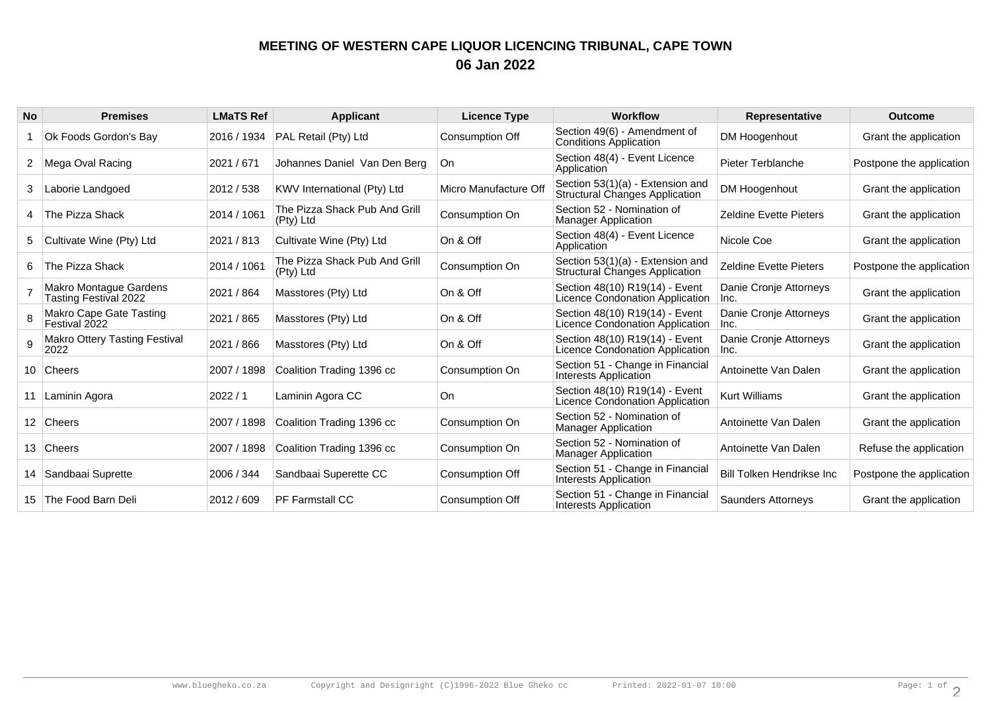## **MEETING OF WESTERN CAPE LIQUOR LICENCING TRIBUNAL, CAPE TOWN06 Jan 2022**

| <b>No</b> | <b>Premises</b>                                        | <b>LMaTS Ref</b> | <b>Applicant</b>                           | <b>Licence Type</b>    | <b>Workflow</b>                                                           | <b>Representative</b>          | <b>Outcome</b>           |
|-----------|--------------------------------------------------------|------------------|--------------------------------------------|------------------------|---------------------------------------------------------------------------|--------------------------------|--------------------------|
|           | Ok Foods Gordon's Bay                                  | 2016 / 1934      | PAL Retail (Pty) Ltd                       | Consumption Off        | Section 49(6) - Amendment of<br><b>Conditions Application</b>             | DM Hoogenhout                  | Grant the application    |
| 2         | Mega Oval Racing                                       | 2021 / 671       | Johannes Daniel Van Den Berg               | ∣On.                   | Section 48(4) - Event Licence<br>Application                              | Pieter Terblanche              | Postpone the application |
| 3         | Laborie Landgoed                                       | 2012 / 538       | KWV International (Pty) Ltd                | Micro Manufacture Off  | Section 53(1)(a) - Extension and<br><b>Structural Changes Application</b> | DM Hoogenhout                  | Grant the application    |
|           | The Pizza Shack                                        | 2014 / 1061      | The Pizza Shack Pub And Grill<br>(Pty) Ltd | Consumption On         | Section 52 - Nomination of<br><b>Manager Application</b>                  | <b>Zeldine Evette Pieters</b>  | Grant the application    |
| 5         | Cultivate Wine (Pty) Ltd                               | 2021 / 813       | Cultivate Wine (Pty) Ltd                   | On & Off               | Section 48(4) - Event Licence<br>Application                              | Nicole Coe                     | Grant the application    |
| 6         | ∣The Pizza Shack                                       | 2014 / 1061      | The Pizza Shack Pub And Grill<br>(Pty) Ltd | Consumption On         | Section 53(1)(a) - Extension and<br>Structural Changes Application        | <b>Zeldine Evette Pieters</b>  | Postpone the application |
|           | Makro Montague Gardens<br><b>Tasting Festival 2022</b> | 2021 / 864       | Masstores (Pty) Ltd                        | On & Off               | Section 48(10) R19(14) - Event<br>Licence Condonation Application         | Danie Cronje Attorneys<br>Inc. | Grant the application    |
|           | Makro Cape Gate Tasting<br>Festival 2022               | 2021 / 865       | Masstores (Pty) Ltd                        | On & Off               | Section 48(10) R19(14) - Event<br>Licence Condonation Application         | Danie Cronje Attorneys<br>lnc. | Grant the application    |
| 9         | <b>Makro Ottery Tasting Festival</b><br>2022           | 2021 / 866       | Masstores (Pty) Ltd                        | On & Off               | Section 48(10) R19(14) - Event<br>Licence Condonation Application         | Danie Cronje Attorneys<br>Inc. | Grant the application    |
|           | 10 Cheers                                              | 2007 / 1898      | Coalition Trading 1396 cc                  | Consumption On         | Section 51 - Change in Financial<br>Interests Application                 | Antoinette Van Dalen           | Grant the application    |
|           | Laminin Agora                                          | 2022/1           | Laminin Agora CC                           | On.                    | Section 48(10) R19(14) - Event<br>Licence Condonation Application         | <b>Kurt Williams</b>           | Grant the application    |
|           | 12 Cheers                                              | 2007 / 1898      | Coalition Trading 1396 cc                  | Consumption On         | Section 52 - Nomination of<br><b>Manager Application</b>                  | Antoinette Van Dalen           | Grant the application    |
|           | 13 Cheers                                              | 2007 / 1898      | Coalition Trading 1396 cc                  | Consumption On         | Section 52 - Nomination of<br><b>Manager Application</b>                  | Antoinette Van Dalen           | Refuse the application   |
|           | 14   Sandbaai Suprette                                 | 2006 / 344       | Sandbaai Superette CC                      | Consumption Off        | Section 51 - Change in Financial<br><b>Interests Application</b>          | Bill Tolken Hendrikse Inc      | Postpone the application |
|           | 15 The Food Barn Deli                                  | 2012 / 609       | <b>PF Farmstall CC</b>                     | <b>Consumption Off</b> | Section 51 - Change in Financial<br>Interests Application                 | <b>Saunders Attorneys</b>      | Grant the application    |